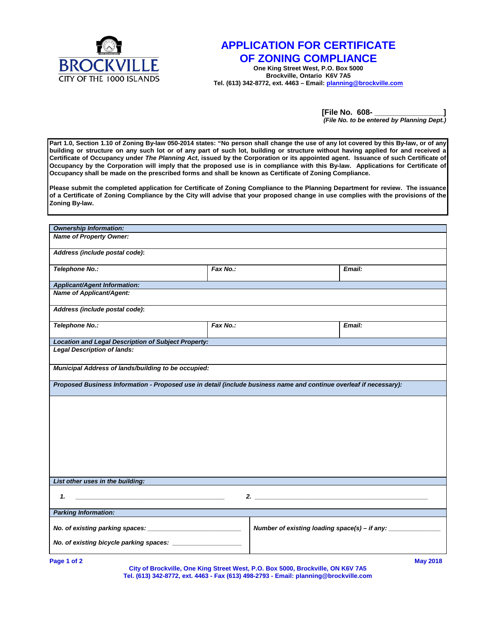

## **APPLICATION FOR CERTIFICATE OF ZONING COMPLIANCE**

**One King Street West, P.O. Box 5000 Brockville, Ontario K6V 7A5 Tel. (613) 342-8772, ext. 4463 – Email: planning@brockville.com**

> **[File No. 608- \_\_\_\_\_\_\_\_\_\_\_\_\_\_\_\_]** *(File No. to be entered by Planning Dept.)*

**Part 1.0, Section 1.10 of Zoning By-law 050-2014 states: "No person shall change the use of any lot covered by this By-law, or of any building or structure on any such lot or of any part of such lot, building or structure without having applied for and received a Certificate of Occupancy under** *The Planning Act***, issued by the Corporation or its appointed agent. Issuance of such Certificate of Occupancy by the Corporation will imply that the proposed use is in compliance with this By-law. Applications for Certificate of Occupancy shall be made on the prescribed forms and shall be known as Certificate of Zoning Compliance.**

**Please submit the completed application for Certificate of Zoning Compliance to the Planning Department for review. The issuance of a Certificate of Zoning Compliance by the City will advise that your proposed change in use complies with the provisions of the Zoning By-law.** 

| <b>Ownership Information:</b>                                                                                      |          |  |                                               |  |
|--------------------------------------------------------------------------------------------------------------------|----------|--|-----------------------------------------------|--|
| <b>Name of Property Owner:</b>                                                                                     |          |  |                                               |  |
| Address (include postal code):                                                                                     |          |  |                                               |  |
| Telephone No.:                                                                                                     | Fax No.: |  | Email:                                        |  |
| <b>Applicant/Agent Information:</b>                                                                                |          |  |                                               |  |
| <b>Name of Applicant/Agent:</b>                                                                                    |          |  |                                               |  |
| Address (include postal code):                                                                                     |          |  |                                               |  |
| Telephone No.:                                                                                                     | Fax No.: |  | Email:                                        |  |
| <b>Location and Legal Description of Subject Property:</b>                                                         |          |  |                                               |  |
| <b>Legal Description of lands:</b>                                                                                 |          |  |                                               |  |
| Municipal Address of lands/building to be occupied:                                                                |          |  |                                               |  |
| Proposed Business Information - Proposed use in detail (include business name and continue overleaf if necessary): |          |  |                                               |  |
|                                                                                                                    |          |  |                                               |  |
|                                                                                                                    |          |  |                                               |  |
|                                                                                                                    |          |  |                                               |  |
|                                                                                                                    |          |  |                                               |  |
|                                                                                                                    |          |  |                                               |  |
|                                                                                                                    |          |  |                                               |  |
|                                                                                                                    |          |  |                                               |  |
|                                                                                                                    |          |  |                                               |  |
| List other uses in the building:                                                                                   |          |  |                                               |  |
|                                                                                                                    |          |  |                                               |  |
| 1.                                                                                                                 |          |  |                                               |  |
| <b>Parking Information:</b>                                                                                        |          |  |                                               |  |
|                                                                                                                    |          |  | Number of existing loading space(s) - if any: |  |
| No. of existing bicycle parking spaces:                                                                            |          |  |                                               |  |
|                                                                                                                    |          |  |                                               |  |

**Page 1 of 2 May 2018 City of Brockville, One King Street West, P.O. Box 5000, Brockville, ON K6V 7A5 Tel. (613) 342-8772, ext. 4463 - Fax (613) 498-2793 - Email: planning@brockville.com**